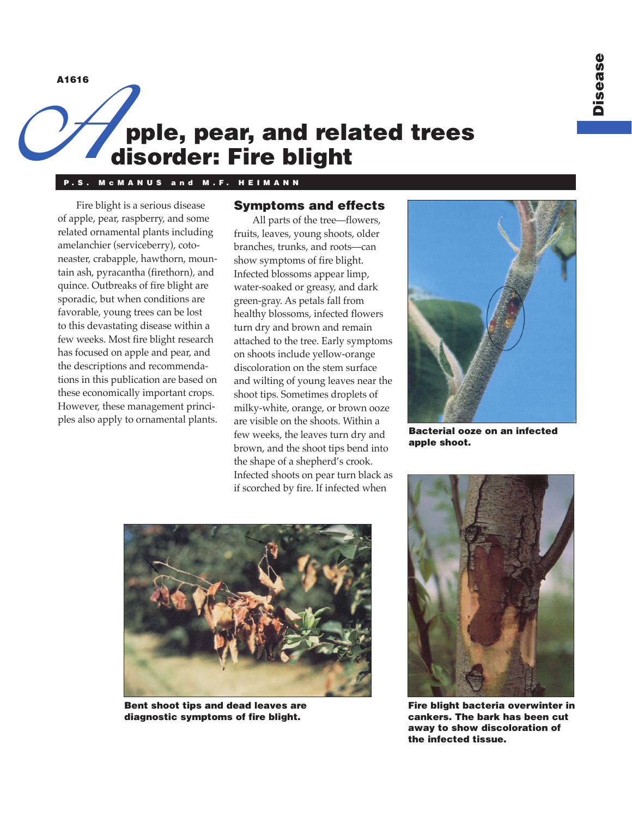A1616

# pple, pear, and related trees disorder: Fire blight A1616

#### M C M A N U S and M.F. HEI M A N N

Fire blight is a serious disease of apple, pear, raspberry, and some related ornamental plants including amelanchier (serviceberry), cotoneaster, crabapple, hawthorn, mountain ash, pyracantha (firethorn), and quince. Outbreaks of fire blight are sporadic, but when conditions are favorable, young trees can be lost to this devastating disease within a few weeks. Most fire blight research has focused on apple and pear, and the descriptions and recommendations in this publication are based on these economically important crops. However, these management principles also apply to ornamental plants.

### Symptoms and effects

All parts of the tree—flowers, fruits, leaves, young shoots, older branches, trunks, and roots—can show symptoms of fire blight. Infected blossoms appear limp, water-soaked or greasy, and dark green-gray. As petals fall from healthy blossoms, infected flowers turn dry and brown and remain attached to the tree. Early symptoms on shoots include yellow-orange discoloration on the stem surface and wilting of young leaves near the shoot tips. Sometimes droplets of milky-white, orange, or brown ooze are visible on the shoots. Within a few weeks, the leaves turn dry and brown, and the shoot tips bend into the shape of a shepherd's crook. Infected shoots on pear turn black as if scorched by fire. If infected when



Bacterial ooze on an infected apple shoot.



Bent shoot tips and dead leaves are diagnostic symptoms of fire blight.



Fire blight bacteria overwinter in cankers. The bark has been cut away to show discoloration of the infected tissue.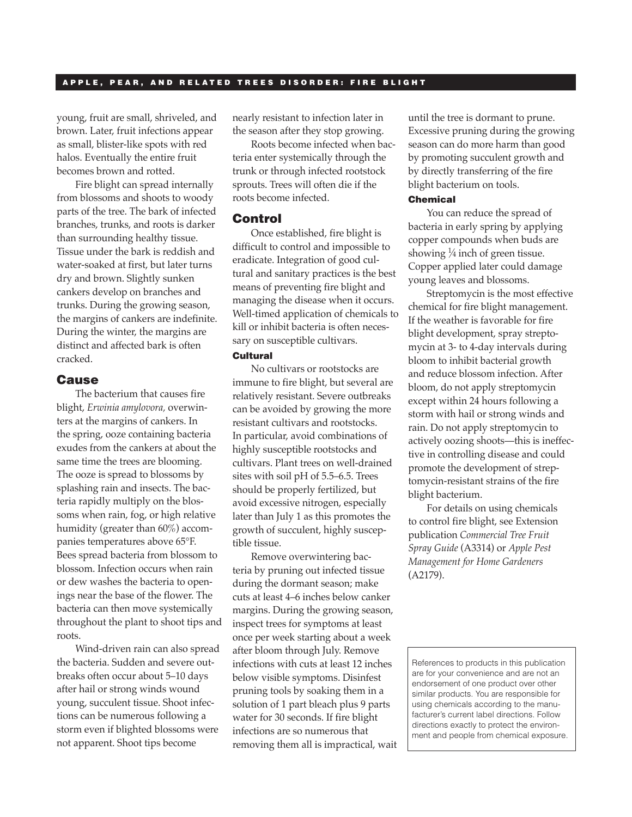#### A P P L E , P E A R , A N D R E L A T E D T R E E S D I S O R D E R . F I R E B L I G H T

young, fruit are small, shriveled, and brown. Later, fruit infections appear as small, blister-like spots with red halos. Eventually the entire fruit becomes brown and rotted.

Fire blight can spread internally from blossoms and shoots to woody parts of the tree. The bark of infected branches, trunks, and roots is darker than surrounding healthy tissue. Tissue under the bark is reddish and water-soaked at first, but later turns dry and brown. Slightly sunken cankers develop on branches and trunks. During the growing season, the margins of cankers are indefinite. During the winter, the margins are distinct and affected bark is often cracked.

#### **Cause**

The bacterium that causes fire blight, *Erwinia amylovora,* overwinters at the margins of cankers. In the spring, ooze containing bacteria exudes from the cankers at about the same time the trees are blooming. The ooze is spread to blossoms by splashing rain and insects. The bacteria rapidly multiply on the blossoms when rain, fog, or high relative humidity (greater than 60%) accompanies temperatures above 65°F. Bees spread bacteria from blossom to blossom. Infection occurs when rain or dew washes the bacteria to openings near the base of the flower. The bacteria can then move systemically throughout the plant to shoot tips and roots.

Wind-driven rain can also spread the bacteria. Sudden and severe outbreaks often occur about 5–10 days after hail or strong winds wound young, succulent tissue. Shoot infections can be numerous following a storm even if blighted blossoms were not apparent. Shoot tips become

nearly resistant to infection later in the season after they stop growing.

Roots become infected when bacteria enter systemically through the trunk or through infected rootstock sprouts. Trees will often die if the roots become infected.

#### Control

Once established, fire blight is difficult to control and impossible to eradicate. Integration of good cultural and sanitary practices is the best means of preventing fire blight and managing the disease when it occurs. Well-timed application of chemicals to kill or inhibit bacteria is often necessary on susceptible cultivars.

## **Cultural**

No cultivars or rootstocks are immune to fire blight, but several are relatively resistant. Severe outbreaks can be avoided by growing the more resistant cultivars and rootstocks. In particular, avoid combinations of highly susceptible rootstocks and cultivars. Plant trees on well-drained sites with soil pH of 5.5–6.5. Trees should be properly fertilized, but avoid excessive nitrogen, especially later than July 1 as this promotes the growth of succulent, highly susceptible tissue.

Remove overwintering bacteria by pruning out infected tissue during the dormant season; make cuts at least 4–6 inches below canker margins. During the growing season, inspect trees for symptoms at least once per week starting about a week after bloom through July. Remove infections with cuts at least 12 inches below visible symptoms. Disinfest pruning tools by soaking them in a solution of 1 part bleach plus 9 parts water for 30 seconds. If fire blight infections are so numerous that removing them all is impractical, wait until the tree is dormant to prune. Excessive pruning during the growing season can do more harm than good by promoting succulent growth and by directly transferring of the fire blight bacterium on tools.

#### Chemical

You can reduce the spread of bacteria in early spring by applying copper compounds when buds are showing  $\frac{1}{4}$  inch of green tissue. Copper applied later could damage young leaves and blossoms.

Streptomycin is the most effective chemical for fire blight management. If the weather is favorable for fire blight development, spray streptomycin at 3- to 4-day intervals during bloom to inhibit bacterial growth and reduce blossom infection. After bloom, do not apply streptomycin except within 24 hours following a storm with hail or strong winds and rain. Do not apply streptomycin to actively oozing shoots—this is ineffective in controlling disease and could promote the development of streptomycin-resistant strains of the fire blight bacterium.

For details on using chemicals to control fire blight, see Extension publication *Commercial Tree Fruit Spray Guide* (A3314) or *Apple Pest Management for Home Gardeners*  (A2179).

References to products in this publication are for your convenience and are not an endorsement of one product over other similar products. You are responsible for using chemicals according to the manufacturer's current label directions. Follow directions exactly to protect the environment and people from chemical exposure.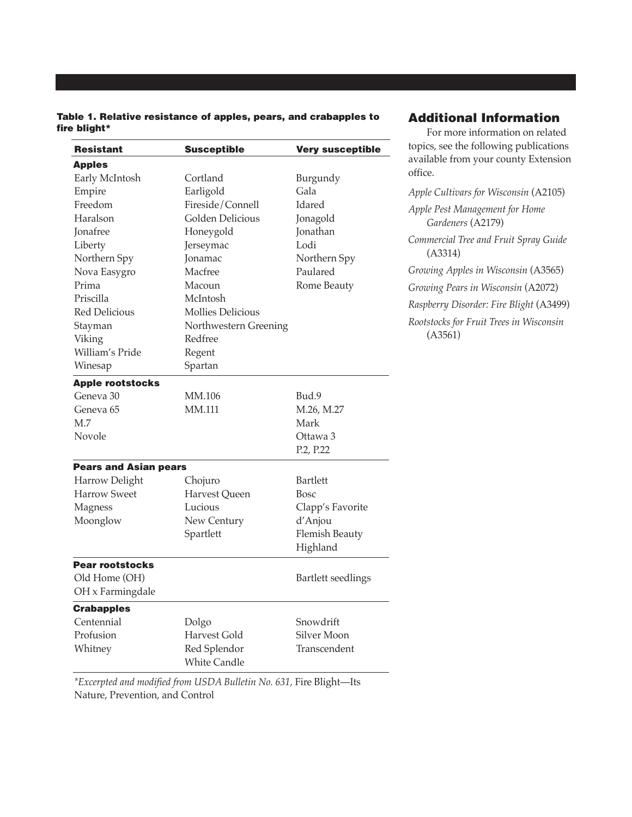| Table 1. Relative resistance of apples, pears, and crabapples to |  |  |  |
|------------------------------------------------------------------|--|--|--|
| fire blight*                                                     |  |  |  |

| <b>Resistant</b>             | <b>Susceptible</b>       |                           |
|------------------------------|--------------------------|---------------------------|
| <b>Apples</b>                |                          |                           |
| Early McIntosh               | Cortland                 | Burgundy                  |
| Empire                       | Earligold                | Gala                      |
| Freedom                      | Fireside/Connell         | Idared                    |
| Haralson                     | <b>Golden Delicious</b>  | Jonagold                  |
| <b>Jonafree</b>              | Honeygold                | Jonathan                  |
| Liberty                      | Jerseymac                | Lodi                      |
| Northern Spy                 | Jonamac                  | Northern Spy              |
| Nova Easygro                 | Macfree                  | Paulared                  |
| Prima                        | Macoun                   | Rome Beauty               |
| Priscilla                    | McIntosh                 |                           |
| <b>Red Delicious</b>         | <b>Mollies Delicious</b> |                           |
| Stayman                      | Northwestern Greening    |                           |
| Viking                       | Redfree                  |                           |
| William's Pride              | Regent                   |                           |
| Winesap                      | Spartan                  |                           |
| <b>Apple rootstocks</b>      |                          |                           |
| Geneva 30                    | MM.106                   | Bud.9                     |
| Geneva <sub>65</sub>         | MM.111                   | M.26, M.27                |
| M.7                          |                          | Mark                      |
| Novole                       |                          | Ottawa 3                  |
|                              |                          | P.2, P.22                 |
| <b>Pears and Asian pears</b> |                          |                           |
| Harrow Delight               | Chojuro                  | <b>Bartlett</b>           |
| <b>Harrow Sweet</b>          | Harvest Queen            | Bosc                      |
| Magness                      | Lucious                  | Clapp's Favorite          |
| Moonglow                     | New Century              | d'Anjou                   |
|                              | Spartlett                | <b>Flemish Beauty</b>     |
|                              |                          | Highland                  |
| <b>Pear rootstocks</b>       |                          |                           |
| Old Home (OH)                |                          | <b>Bartlett seedlings</b> |
| OH x Farmingdale             |                          |                           |
| <b>Crabapples</b>            |                          |                           |
| Centennial                   | Dolgo                    | Snowdrift                 |
| Profusion                    | Harvest Gold             | Silver Moon               |
| Whitney                      | Red Splendor             | Transcendent              |
|                              | <b>White Candle</b>      |                           |

*\*Excerpted and modified from USDA Bulletin No. 631,* Fire Blight—Its Nature, Prevention, and Control

# Additional Information

For more information on related topics, see the following publications available from your county Extension office.

*Apple Cultivars for Wisconsin* (A2105) *Apple Pest Management for Home Gardeners* (A2179) *Commercial Tree and Fruit Spray Guide*  (A3314) *Growing Apples in Wisconsin* (A3565) *Growing Pears in Wisconsin* (A2072) *Raspberry Disorder: Fire Blight* (A3499) *Rootstocks for Fruit Trees in Wisconsin* 

(A3561)